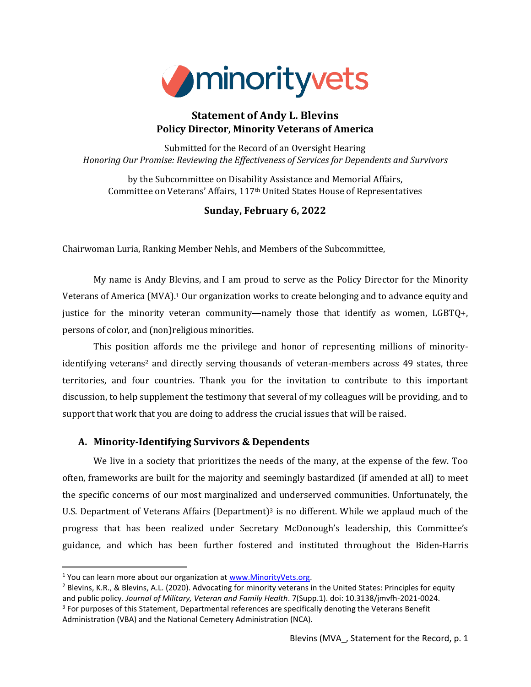

# **Statement of Andy L. Blevins Policy Director, Minority Veterans of America**

Submitted for the Record of an Oversight Hearing *Honoring Our Promise: Reviewing the Effectiveness of Services for Dependents and Survivors*

by the Subcommittee on Disability Assistance and Memorial Affairs, Committee on Veterans' Affairs, 117th United States House of Representatives

## **Sunday, February 6, 2022**

Chairwoman Luria, Ranking Member Nehls, and Members of the Subcommittee,

My name is Andy Blevins, and I am proud to serve as the Policy Director for the Minority Veterans of America (MVA). <sup>1</sup> Our organization works to create belonging and to advance equity and justice for the minority veteran community—namely those that identify as women, LGBTQ+, persons of color, and (non)religious minorities.

This position affords me the privilege and honor of representing millions of minorityidentifying veterans<sup>2</sup> and directly serving thousands of veteran-members across 49 states, three territories, and four countries. Thank you for the invitation to contribute to this important discussion, to help supplement the testimony that several of my colleagues will be providing, and to support that work that you are doing to address the crucial issues that will be raised.

## **A. Minority-Identifying Survivors & Dependents**

We live in a society that prioritizes the needs of the many, at the expense of the few. Too often, frameworks are built for the majority and seemingly bastardized (if amended at all) to meet the specific concerns of our most marginalized and underserved communities. Unfortunately, the U.S. Department of Veterans Affairs (Department)<sup>3</sup> is no different. While we applaud much of the progress that has been realized under Secretary McDonough's leadership, this Committee's guidance, and which has been further fostered and instituted throughout the Biden-Harris

<sup>&</sup>lt;sup>1</sup> You can learn more about our organization a[t www.MinorityVets.org.](http://www.minorityvets.org/)

<sup>&</sup>lt;sup>2</sup> Blevins, K.R., & Blevins, A.L. (2020). Advocating for minority veterans in the United States: Principles for equity and public policy. *Journal of Military, Veteran and Family Health*. 7(Supp.1). doi: 10.3138/jmvfh-2021-0024. <sup>3</sup> For purposes of this Statement, Departmental references are specifically denoting the Veterans Benefit Administration (VBA) and the National Cemetery Administration (NCA).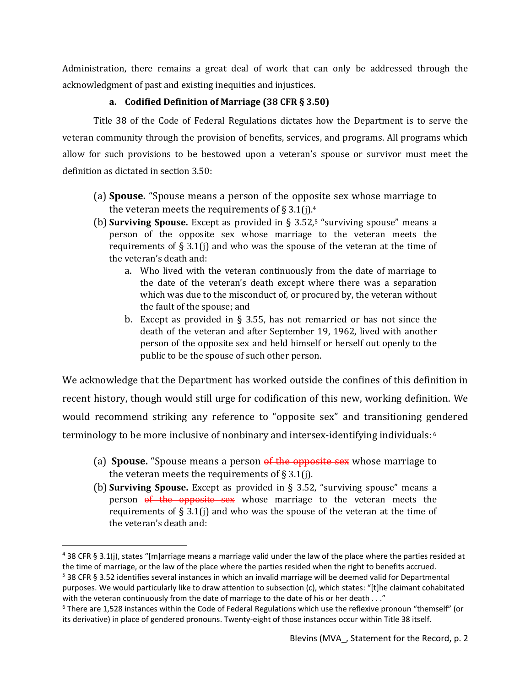Administration, there remains a great deal of work that can only be addressed through the acknowledgment of past and existing inequities and injustices.

## **a. Codified Definition of Marriage (38 CFR § 3.50)**

Title 38 of the Code of Federal Regulations dictates how the Department is to serve the veteran community through the provision of benefits, services, and programs. All programs which allow for such provisions to be bestowed upon a veteran's spouse or survivor must meet the definition as dictated in section 3.50:

- (a) **Spouse.** "Spouse means a person of the opposite sex whose marriage to the veteran meets the requirements of  $\S 3.1(j).4$
- (b) **Surviving Spouse.** Except as provided in § 3.52,<sup>5</sup> "surviving spouse" means a person of the opposite sex whose marriage to the veteran meets the requirements of  $\S 3.1(j)$  and who was the spouse of the veteran at the time of the veteran's death and:
	- a. Who lived with the veteran continuously from the date of marriage to the date of the veteran's death except where there was a separation which was due to the misconduct of, or procured by, the veteran without the fault of the spouse; and
	- b. Except as provided in § 3.55, has not remarried or has not since the death of the veteran and after September 19, 1962, lived with another person of the opposite sex and held himself or herself out openly to the public to be the spouse of such other person.

We acknowledge that the Department has worked outside the confines of this definition in recent history, though would still urge for codification of this new, working definition. We would recommend striking any reference to "opposite sex" and transitioning gendered terminology to be more inclusive of nonbinary and intersex-identifying individuals: 6

- (a) **Spouse.** "Spouse means a person of the opposite sex whose marriage to the veteran meets the requirements of  $\S 3.1$ (j).
- (b) **Surviving Spouse.** Except as provided in § 3.52, "surviving spouse" means a person of the opposite sex whose marriage to the veteran meets the requirements of  $\S 3.1$ (j) and who was the spouse of the veteran at the time of the veteran's death and:

 $4$  38 CFR § 3.1(j), states "[m]arriage means a marriage valid under the law of the place where the parties resided at the time of marriage, or the law of the place where the parties resided when the right to benefits accrued.

<sup>5</sup> 38 CFR § 3.52 identifies several instances in which an invalid marriage will be deemed valid for Departmental purposes. We would particularly like to draw attention to subsection (c), which states: "[t]he claimant cohabitated with the veteran continuously from the date of marriage to the date of his or her death . . ."

 $6$  There are 1,528 instances within the Code of Federal Regulations which use the reflexive pronoun "themself" (or its derivative) in place of gendered pronouns. Twenty-eight of those instances occur within Title 38 itself.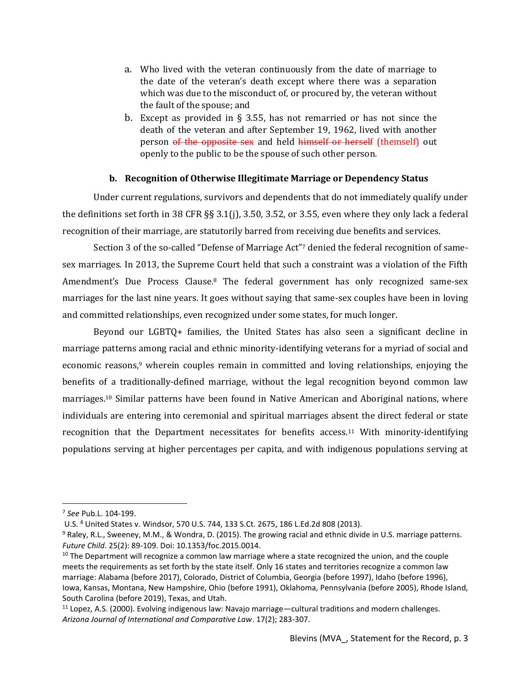- a. Who lived with the veteran continuously from the date of marriage to the date of the veteran's death except where there was a separation which was due to the misconduct of, or procured by, the veteran without the fault of the spouse; and
- b. Except as provided in § 3.55, has not remarried or has not since the death of the veteran and after September 19, 1962, lived with another person of the opposite sex and held himself or herself (themself) out openly to the public to be the spouse of such other person.

### **b. Recognition of Otherwise Illegitimate Marriage or Dependency Status**

Under current regulations, survivors and dependents that do not immediately qualify under the definitions set forth in 38 CFR §§ 3.1(j), 3.50, 3.52, or 3.55, even where they only lack a federal recognition of their marriage, are statutorily barred from receiving due benefits and services.

Section 3 of the so-called "Defense of Marriage Act"<sup>7</sup> denied the federal recognition of samesex marriages. In 2013, the Supreme Court held that such a constraint was a violation of the Fifth Amendment's Due Process Clause.<sup>8</sup> The federal government has only recognized same-sex marriages for the last nine years. It goes without saying that same-sex couples have been in loving and committed relationships, even recognized under some states, for much longer.

Beyond our LGBTQ+ families, the United States has also seen a significant decline in marriage patterns among racial and ethnic minority-identifying veterans for a myriad of social and economic reasons, <sup>9</sup> wherein couples remain in committed and loving relationships, enjoying the benefits of a traditionally-defined marriage, without the legal recognition beyond common law marriages.<sup>10</sup> Similar patterns have been found in Native American and Aboriginal nations, where individuals are entering into ceremonial and spiritual marriages absent the direct federal or state recognition that the Department necessitates for benefits access.<sup>11</sup> With minority-identifying populations serving at higher percentages per capita, and with indigenous populations serving at

<sup>7</sup> *See* Pub.L. 104-199.

U.S. <sup>8</sup> United States v. Windsor, 570 U.S. 744, 133 S.Ct. 2675, 186 L.Ed.2d 808 (2013).

<sup>&</sup>lt;sup>9</sup> Raley, R.L., Sweeney, M.M., & Wondra, D. (2015). The growing racial and ethnic divide in U.S. marriage patterns. *Future Child*. 25(2): 89-109. Doi: 10.1353/foc.2015.0014.

 $10$  The Department will recognize a common law marriage where a state recognized the union, and the couple meets the requirements as set forth by the state itself. Only 16 states and territories recognize a common law marriage: Alabama (before 2017), Colorado, District of Columbia, Georgia (before 1997), Idaho (before 1996), Iowa, Kansas, Montana, New Hampshire, Ohio (before 1991), Oklahoma, Pennsylvania (before 2005), Rhode Island, South Carolina (before 2019), Texas, and Utah.

 $11$  Lopez, A.S. (2000). Evolving indigenous law: Navajo marriage—cultural traditions and modern challenges. *Arizona Journal of International and Comparative Law*. 17(2); 283-307.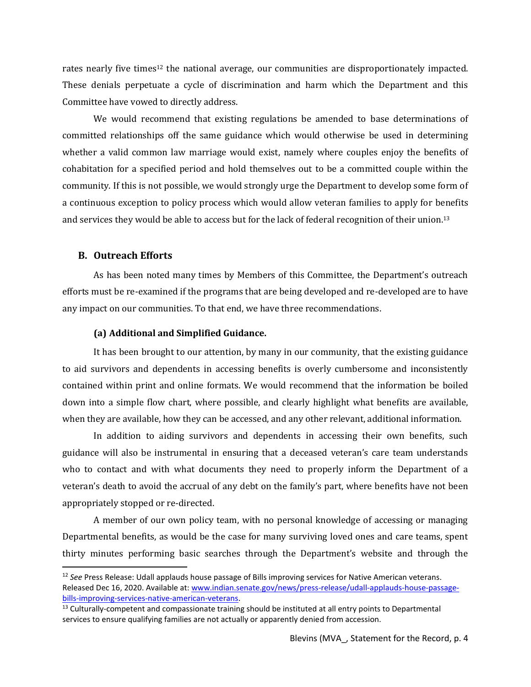rates nearly five times<sup>12</sup> the national average, our communities are disproportionately impacted. These denials perpetuate a cycle of discrimination and harm which the Department and this Committee have vowed to directly address.

We would recommend that existing regulations be amended to base determinations of committed relationships off the same guidance which would otherwise be used in determining whether a valid common law marriage would exist, namely where couples enjoy the benefits of cohabitation for a specified period and hold themselves out to be a committed couple within the community. If this is not possible, we would strongly urge the Department to develop some form of a continuous exception to policy process which would allow veteran families to apply for benefits and services they would be able to access but for the lack of federal recognition of their union.<sup>13</sup>

#### **B. Outreach Efforts**

As has been noted many times by Members of this Committee, the Department's outreach efforts must be re-examined if the programs that are being developed and re-developed are to have any impact on our communities. To that end, we have three recommendations.

#### **(a) Additional and Simplified Guidance.**

It has been brought to our attention, by many in our community, that the existing guidance to aid survivors and dependents in accessing benefits is overly cumbersome and inconsistently contained within print and online formats. We would recommend that the information be boiled down into a simple flow chart, where possible, and clearly highlight what benefits are available, when they are available, how they can be accessed, and any other relevant, additional information.

In addition to aiding survivors and dependents in accessing their own benefits, such guidance will also be instrumental in ensuring that a deceased veteran's care team understands who to contact and with what documents they need to properly inform the Department of a veteran's death to avoid the accrual of any debt on the family's part, where benefits have not been appropriately stopped or re-directed.

A member of our own policy team, with no personal knowledge of accessing or managing Departmental benefits, as would be the case for many surviving loved ones and care teams, spent thirty minutes performing basic searches through the Department's website and through the

<sup>12</sup> *See* Press Release: Udall applauds house passage of Bills improving services for Native American veterans. Released Dec 16, 2020. Available at: [www.indian.senate.gov/news/press-release/udall-applauds-house-passage](https://www.indian.senate.gov/news/press-release/udall-applauds-house-passage-bills-improving-services-native-american-veterans)[bills-improving-services-native-american-veterans.](https://www.indian.senate.gov/news/press-release/udall-applauds-house-passage-bills-improving-services-native-american-veterans)

 $13$  Culturally-competent and compassionate training should be instituted at all entry points to Departmental services to ensure qualifying families are not actually or apparently denied from accession.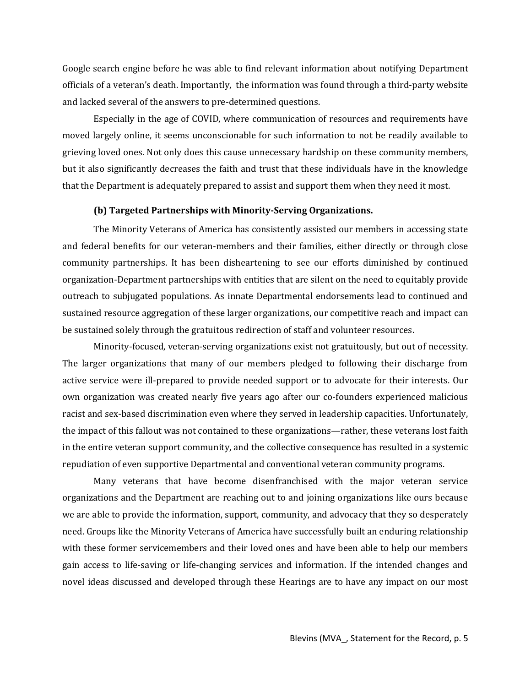Google search engine before he was able to find relevant information about notifying Department officials of a veteran's death. Importantly, the information was found through a third-party website and lacked several of the answers to pre-determined questions.

Especially in the age of COVID, where communication of resources and requirements have moved largely online, it seems unconscionable for such information to not be readily available to grieving loved ones. Not only does this cause unnecessary hardship on these community members, but it also significantly decreases the faith and trust that these individuals have in the knowledge that the Department is adequately prepared to assist and support them when they need it most.

#### **(b) Targeted Partnerships with Minority-Serving Organizations.**

The Minority Veterans of America has consistently assisted our members in accessing state and federal benefits for our veteran-members and their families, either directly or through close community partnerships. It has been disheartening to see our efforts diminished by continued organization-Department partnerships with entities that are silent on the need to equitably provide outreach to subjugated populations. As innate Departmental endorsements lead to continued and sustained resource aggregation of these larger organizations, our competitive reach and impact can be sustained solely through the gratuitous redirection of staff and volunteer resources.

Minority-focused, veteran-serving organizations exist not gratuitously, but out of necessity. The larger organizations that many of our members pledged to following their discharge from active service were ill-prepared to provide needed support or to advocate for their interests. Our own organization was created nearly five years ago after our co-founders experienced malicious racist and sex-based discrimination even where they served in leadership capacities. Unfortunately, the impact of this fallout was not contained to these organizations—rather, these veterans lost faith in the entire veteran support community, and the collective consequence has resulted in a systemic repudiation of even supportive Departmental and conventional veteran community programs.

Many veterans that have become disenfranchised with the major veteran service organizations and the Department are reaching out to and joining organizations like ours because we are able to provide the information, support, community, and advocacy that they so desperately need. Groups like the Minority Veterans of America have successfully built an enduring relationship with these former servicemembers and their loved ones and have been able to help our members gain access to life-saving or life-changing services and information. If the intended changes and novel ideas discussed and developed through these Hearings are to have any impact on our most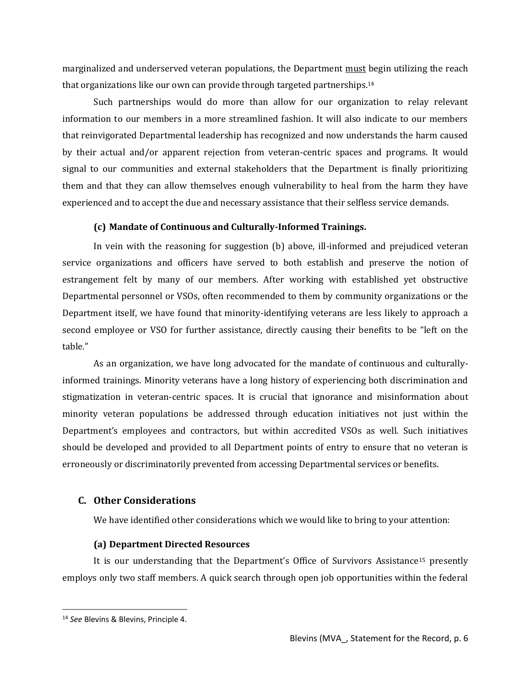marginalized and underserved veteran populations, the Department must begin utilizing the reach that organizations like our own can provide through targeted partnerships.<sup>14</sup>

Such partnerships would do more than allow for our organization to relay relevant information to our members in a more streamlined fashion. It will also indicate to our members that reinvigorated Departmental leadership has recognized and now understands the harm caused by their actual and/or apparent rejection from veteran-centric spaces and programs. It would signal to our communities and external stakeholders that the Department is finally prioritizing them and that they can allow themselves enough vulnerability to heal from the harm they have experienced and to accept the due and necessary assistance that their selfless service demands.

### **(c) Mandate of Continuous and Culturally-Informed Trainings.**

In vein with the reasoning for suggestion (b) above, ill-informed and prejudiced veteran service organizations and officers have served to both establish and preserve the notion of estrangement felt by many of our members. After working with established yet obstructive Departmental personnel or VSOs, often recommended to them by community organizations or the Department itself, we have found that minority-identifying veterans are less likely to approach a second employee or VSO for further assistance, directly causing their benefits to be "left on the table."

As an organization, we have long advocated for the mandate of continuous and culturallyinformed trainings. Minority veterans have a long history of experiencing both discrimination and stigmatization in veteran-centric spaces. It is crucial that ignorance and misinformation about minority veteran populations be addressed through education initiatives not just within the Department's employees and contractors, but within accredited VSOs as well. Such initiatives should be developed and provided to all Department points of entry to ensure that no veteran is erroneously or discriminatorily prevented from accessing Departmental services or benefits.

## **C. Other Considerations**

We have identified other considerations which we would like to bring to your attention:

### **(a) Department Directed Resources**

It is our understanding that the Department's Office of Survivors Assistance<sup>15</sup> presently employs only two staff members. A quick search through open job opportunities within the federal

<sup>14</sup> *See* Blevins & Blevins, Principle 4.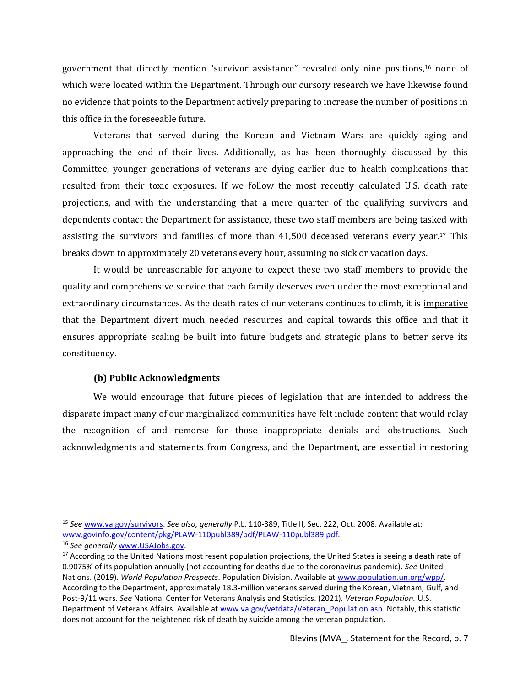government that directly mention "survivor assistance" revealed only nine positions,<sup>16</sup> none of which were located within the Department. Through our cursory research we have likewise found no evidence that points to the Department actively preparing to increase the number of positions in this office in the foreseeable future.

Veterans that served during the Korean and Vietnam Wars are quickly aging and approaching the end of their lives. Additionally, as has been thoroughly discussed by this Committee, younger generations of veterans are dying earlier due to health complications that resulted from their toxic exposures. If we follow the most recently calculated U.S. death rate projections, and with the understanding that a mere quarter of the qualifying survivors and dependents contact the Department for assistance, these two staff members are being tasked with assisting the survivors and families of more than 41,500 deceased veterans every year.<sup>17</sup> This breaks down to approximately 20 veterans every hour, assuming no sick or vacation days.

It would be unreasonable for anyone to expect these two staff members to provide the quality and comprehensive service that each family deserves even under the most exceptional and extraordinary circumstances. As the death rates of our veterans continues to climb, it is imperative that the Department divert much needed resources and capital towards this office and that it ensures appropriate scaling be built into future budgets and strategic plans to better serve its constituency.

#### **(b) Public Acknowledgments**

We would encourage that future pieces of legislation that are intended to address the disparate impact many of our marginalized communities have felt include content that would relay the recognition of and remorse for those inappropriate denials and obstructions. Such acknowledgments and statements from Congress, and the Department, are essential in restoring

<sup>15</sup> *See* [www.va.gov/survivors.](https://www.va.gov/survivors/) *See also, generally* P.L. 110-389, Title II, Sec. 222, Oct. 2008. Available at: [www.govinfo.gov/content/pkg/PLAW-110publ389/pdf/PLAW-110publ389.pdf.](https://www.govinfo.gov/content/pkg/PLAW-110publ389/pdf/PLAW-110publ389.pdf)

<sup>16</sup> *See generally* [www.USAJobs.gov.](http://www.usajobs.gov/) 

<sup>&</sup>lt;sup>17</sup> According to the United Nations most resent population projections, the United States is seeing a death rate of 0.9075% of its population annually (not accounting for deaths due to the coronavirus pandemic). *See* United Nations. (2019). *World Population Prospects*. Population Division. Available at [www.population.un.org/wpp/.](https://population.un.org/wpp/) According to the Department, approximately 18.3-million veterans served during the Korean, Vietnam, Gulf, and Post-9/11 wars. *See* National Center for Veterans Analysis and Statistics. (2021). *Veteran Population.* U.S. Department of Veterans Affairs. Available at www.va.gov/vetdata/Veteran Population.asp. Notably, this statistic does not account for the heightened risk of death by suicide among the veteran population.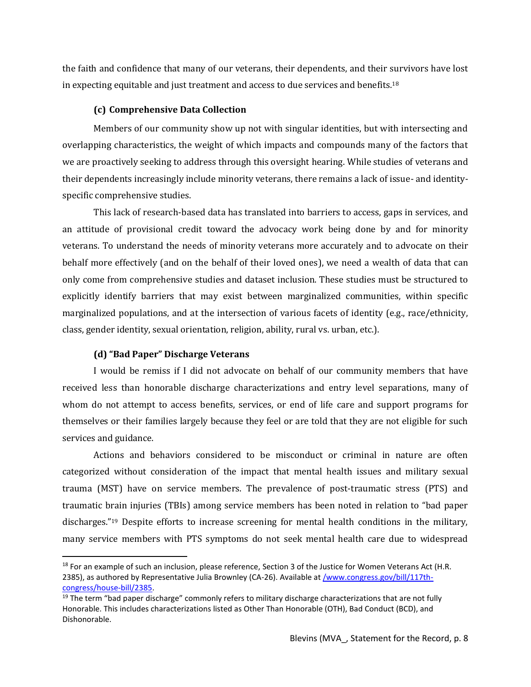the faith and confidence that many of our veterans, their dependents, and their survivors have lost in expecting equitable and just treatment and access to due services and benefits.<sup>18</sup>

### **(c) Comprehensive Data Collection**

Members of our community show up not with singular identities, but with intersecting and overlapping characteristics, the weight of which impacts and compounds many of the factors that we are proactively seeking to address through this oversight hearing. While studies of veterans and their dependents increasingly include minority veterans, there remains a lack of issue- and identityspecific comprehensive studies.

This lack of research-based data has translated into barriers to access, gaps in services, and an attitude of provisional credit toward the advocacy work being done by and for minority veterans. To understand the needs of minority veterans more accurately and to advocate on their behalf more effectively (and on the behalf of their loved ones), we need a wealth of data that can only come from comprehensive studies and dataset inclusion. These studies must be structured to explicitly identify barriers that may exist between marginalized communities, within specific marginalized populations, and at the intersection of various facets of identity (e.g., race/ethnicity, class, gender identity, sexual orientation, religion, ability, rural vs. urban, etc.).

### **(d) "Bad Paper" Discharge Veterans**

I would be remiss if I did not advocate on behalf of our community members that have received less than honorable discharge characterizations and entry level separations, many of whom do not attempt to access benefits, services, or end of life care and support programs for themselves or their families largely because they feel or are told that they are not eligible for such services and guidance.

Actions and behaviors considered to be misconduct or criminal in nature are often categorized without consideration of the impact that mental health issues and military sexual trauma (MST) have on service members. The prevalence of post-traumatic stress (PTS) and traumatic brain injuries (TBIs) among service members has been noted in relation to "bad paper discharges."<sup>19</sup> Despite efforts to increase screening for mental health conditions in the military, many service members with PTS symptoms do not seek mental health care due to widespread

<sup>&</sup>lt;sup>18</sup> For an example of such an inclusion, please reference, Section 3 of the Justice for Women Veterans Act (H.R. 2385), as authored by Representative Julia Brownley (CA-26). Available a[t /www.congress.gov/bill/117th](https://www.congress.gov/bill/117th-congress/house-bill/2385?q=%7B%22search%22%3A%5B%22HR+2385%22%2C%22HR%22%2C%222385%22%5D%7D&s=1&r=1)[congress/house-bill/2385.](https://www.congress.gov/bill/117th-congress/house-bill/2385?q=%7B%22search%22%3A%5B%22HR+2385%22%2C%22HR%22%2C%222385%22%5D%7D&s=1&r=1)

 $19$  The term "bad paper discharge" commonly refers to military discharge characterizations that are not fully Honorable. This includes characterizations listed as Other Than Honorable (OTH), Bad Conduct (BCD), and Dishonorable.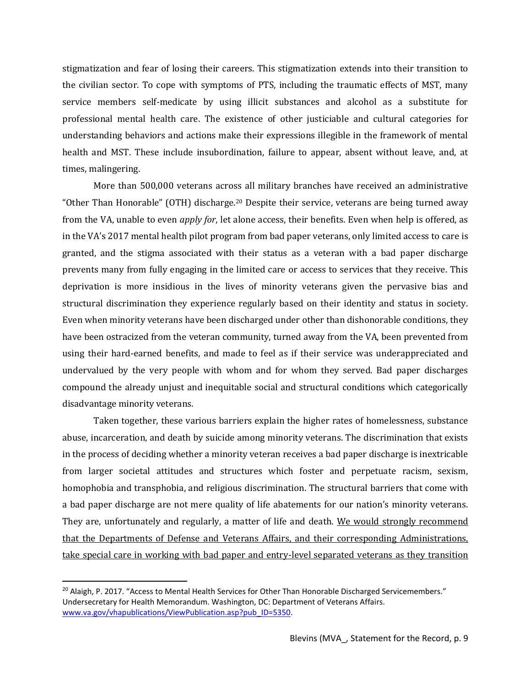stigmatization and fear of losing their careers. This stigmatization extends into their transition to the civilian sector. To cope with symptoms of PTS, including the traumatic effects of MST, many service members self-medicate by using illicit substances and alcohol as a substitute for professional mental health care. The existence of other justiciable and cultural categories for understanding behaviors and actions make their expressions illegible in the framework of mental health and MST. These include insubordination, failure to appear, absent without leave, and, at times, malingering.

More than 500,000 veterans across all military branches have received an administrative "Other Than Honorable" (OTH) discharge.<sup>20</sup> Despite their service, veterans are being turned away from the VA, unable to even *apply for*, let alone access, their benefits. Even when help is offered, as in the VA's 2017 mental health pilot program from bad paper veterans, only limited access to care is granted, and the stigma associated with their status as a veteran with a bad paper discharge prevents many from fully engaging in the limited care or access to services that they receive. This deprivation is more insidious in the lives of minority veterans given the pervasive bias and structural discrimination they experience regularly based on their identity and status in society. Even when minority veterans have been discharged under other than dishonorable conditions, they have been ostracized from the veteran community, turned away from the VA, been prevented from using their hard-earned benefits, and made to feel as if their service was underappreciated and undervalued by the very people with whom and for whom they served. Bad paper discharges compound the already unjust and inequitable social and structural conditions which categorically disadvantage minority veterans.

Taken together, these various barriers explain the higher rates of homelessness, substance abuse, incarceration, and death by suicide among minority veterans. The discrimination that exists in the process of deciding whether a minority veteran receives a bad paper discharge is inextricable from larger societal attitudes and structures which foster and perpetuate racism, sexism, homophobia and transphobia, and religious discrimination. The structural barriers that come with a bad paper discharge are not mere quality of life abatements for our nation's minority veterans. They are, unfortunately and regularly, a matter of life and death. We would strongly recommend that the Departments of Defense and Veterans Affairs, and their corresponding Administrations, take special care in working with bad paper and entry-level separated veterans as they transition

<sup>&</sup>lt;sup>20</sup> Alaigh, P. 2017. "Access to Mental Health Services for Other Than Honorable Discharged Servicemembers." Undersecretary for Health Memorandum. Washington, DC: Department of Veterans Affairs[.](https://www.va.gov/vhapublications/ViewPublication.asp?pub_ID=5350) [www.va.gov/vhapublications/ViewPublication.asp?pub\\_ID=5350.](https://www.va.gov/vhapublications/ViewPublication.asp?pub_ID=5350)